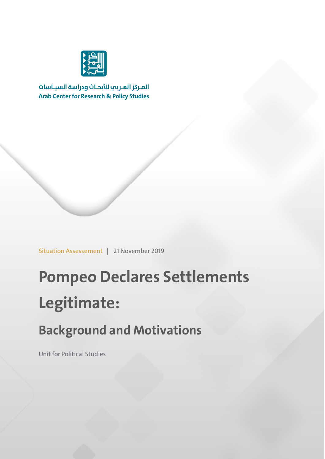

المركز العربب للأبحاث ودراسة السياسات **Arab Center for Research & Policy Studies** 

Situation Assessement | 21 November 2019

# **Pompeo Declares Settlements Legitimate:**

## **Background and Motivations**

Unit for Political Studies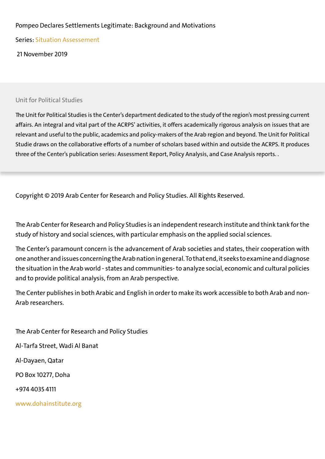#### Pompeo Declares Settlements Legitimate: Background and Motivations

Series: Situation Assessement

21 November 2019

#### Unit for Political Studies

The Unit for Political Studies is the Center's department dedicated to the study of the region's most pressing current affairs. An integral and vital part of the ACRPS' activities, it offers academically rigorous analysis on issues that are relevant and useful to the public, academics and policy-makers of the Arab region and beyond. The Unit for Political Studie draws on the collaborative efforts of a number of scholars based within and outside the ACRPS. It produces three of the Center's publication series: Assessment Report, Policy Analysis, and Case Analysis reports. .

Copyright © 2019 Arab Center for Research and Policy Studies. All Rights Reserved.

The Arab Center for Research and Policy Studies is an independent research institute and think tank for the study of history and social sciences, with particular emphasis on the applied social sciences.

The Center's paramount concern is the advancement of Arab societies and states, their cooperation with one another and issues concerning the Arab nation in general. To that end, it seeks to examine and diagnose the situation in the Arab world - states and communities- to analyze social, economic and cultural policies and to provide political analysis, from an Arab perspective.

The Center publishes in both Arabic and English in order to make its work accessible to both Arab and non-Arab researchers.

The Arab Center for Research and Policy Studies Al-Tarfa Street, Wadi Al Banat Al-Dayaen, Qatar PO Box 10277, Doha +974 4035 4111 www.dohainstitute.org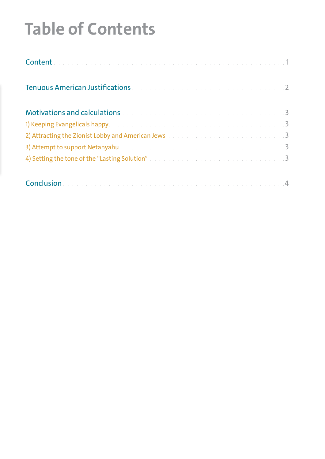# **Table of Contents**

| Tenuous American Justifications and a contract of the contract of the state of 2                       |  |
|--------------------------------------------------------------------------------------------------------|--|
| Motivations and calculations and calculations and the continuum of the contract of the state of 3      |  |
| 1) Keeping Evangelicals happy. The contract of the contract of the contract of the contract of the 3   |  |
| 2) Attracting the Zionist Lobby and American Jews and an american state of the state of the state of 3 |  |
| 3) Attempt to support Netanyahu and an analyzing and an analyzing and an analyzing state of the S      |  |
| 4) Setting the tone of the "Lasting Solution" and a substitution of the state of the Solid S           |  |
|                                                                                                        |  |
|                                                                                                        |  |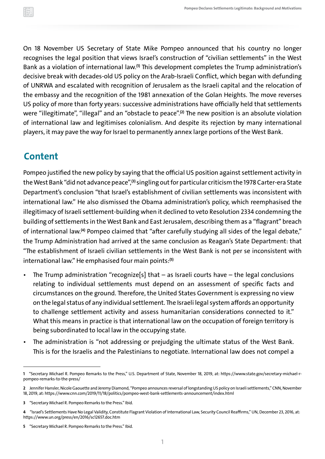<span id="page-3-0"></span>On 18 November US Secretary of State Mike Pompeo announced that his country no longer recognises the legal position that views Israel's construction of "civilian settlements" in the West Bank as a violation of international law.**(1)** This development completes the Trump administration's decisive break with decades-old US policy on the Arab-Israeli Conflict, which began with defunding of UNRWA and escalated with recognition of Jerusalem as the Israeli capital and the relocation of the embassy and the recognition of the 1981 annexation of the Golan Heights. The move reverses US policy of more than forty years: successive administrations have officially held that settlements were "illegitimate", "illegal" and an "obstacle to peace".**(2)** The new position is an absolute violation of international law and legitimises colonialism. And despite its rejection by many international players, it may pave the way for Israel to permanently annex large portions of the West Bank.

#### **Content**

Pompeo justified the new policy by saying that the official US position against settlement activity in the West Bank "did not advance peace",**(3)** singling out for particular criticism the 1978 Carter-era State Department's conclusion "that Israel's establishment of civilian settlements was inconsistent with international law." He also dismissed the Obama administration's policy, which reemphasised the illegitimacy of Israeli settlement-building when it declined to veto Resolution 2334 condemning the building of settlements in the West Bank and East Jerusalem, describing them as a "flagrant" breach of international law.**(4)** Pompeo claimed that "after carefully studying all sides of the legal debate," the Trump Administration had arrived at the same conclusion as Reagan's State Department: that "The establishment of Israeli civilian settlements in the West Bank is not per se inconsistent with international law." He emphasised four main points:**(5)**

- The Trump administration "recognize[s] that  $-$  as Israeli courts have  $-$  the legal conclusions relating to individual settlements must depend on an assessment of specific facts and circumstances on the ground. Therefore, the United States Government is expressing no view on the legal status of any individual settlement. The Israeli legal system affords an opportunity to challenge settlement activity and assess humanitarian considerations connected to it." What this means in practice is that international law on the occupation of foreign territory is being subordinated to local law in the occupying state.
- The administration is "not addressing or prejudging the ultimate status of the West Bank. This is for the Israelis and the Palestinians to negotiate. International law does not compel a

**<sup>1</sup>** "Secretary Michael R. Pompeo Remarks to the Press," U.S. Department of State, November 18, 2019, at: [https://www.state.gov/secretary-michael-r](https://www.state.gov/secretary-michael-r-pompeo-remarks-to-the-press/)[pompeo-remarks-to-the-press/](https://www.state.gov/secretary-michael-r-pompeo-remarks-to-the-press/)

**<sup>2</sup>** Jennifer Hansler, Nicole Gaouette and Jeremy Diamond, "Pompeo announces reversal of longstanding US policy on Israeli settlements," CNN, November 18, 2019, at:<https://www.cnn.com/2019/11/18/politics/pompeo-west-bank-settlements-announcement/index.html>

**<sup>3</sup>** "Secretary Michael R. Pompeo Remarks to the Press." Ibid.

**<sup>4</sup>** "Israel's Settlements Have No Legal Validity, Constitute Flagrant Violation of International Law, Security Council Reaffirms," UN, December 23, 2016, at: <https://www.un.org/press/en/2016/sc12657.doc.htm>

**<sup>5</sup>** "Secretary Michael R. Pompeo Remarks to the Press." Ibid.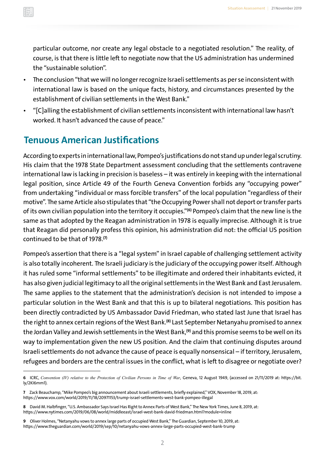<span id="page-4-0"></span>particular outcome, nor create any legal obstacle to a negotiated resolution." The reality, of course, is that there is little left to negotiate now that the US administration has undermined the "sustainable solution".

- The conclusion "that we will no longer recognize Israeli settlements as per se inconsistent with international law is based on the unique facts, history, and circumstances presented by the establishment of civilian settlements in the West Bank."
- "[C]alling the establishment of civilian settlements inconsistent with international law hasn't worked. It hasn't advanced the cause of peace."

### **Tenuous American Justifications**

According to experts in international law, Pompeo's justifications do not stand up under legal scrutiny. His claim that the 1978 State Department assessment concluding that the settlements contravene international law is lacking in precision is baseless – it was entirely in keeping with the international legal position, since Article 49 of the Fourth Geneva Convention forbids any "occupying power" from undertaking "individual or mass forcible transfers" of the local population "regardless of their motive". The same Article also stipulates that "the Occupying Power shall not deport or transfer parts of its own civilian population into the territory it occupies."**(6)** Pompeo's claim that the new line is the same as that adopted by the Reagan administration in 1978 is equally imprecise. Although it is true that Reagan did personally profess this opinion, his administration did not: the official US position continued to be that of 1978.**(7)**

Pompeo's assertion that there is a "legal system" in Israel capable of challenging settlement activity is also totally incoherent. The Israeli judiciary is the judiciary of the occupying power itself. Although it has ruled some "informal settlements" to be illegitimate and ordered their inhabitants evicted, it has also given judicial legitimacy to all the original settlements in the West Bank and East Jerusalem. The same applies to the statement that the administration's decision is not intended to impose a particular solution in the West Bank and that this is up to bilateral negotiations. This position has been directly contradicted by US Ambassador David Friedman, who stated last June that Israel has the right to annex certain regions of the West Bank.**(8)** Last September Netanyahu promised to annex the Jordan Valley and Jewish settlements in the West Bank,**(9)** and this promise seems to be well on its way to implementation given the new US position. And the claim that continuing disputes around Israeli settlements do not advance the cause of peace is equally nonsensical – if territory, Jerusalem, refugees and borders are the central issues in the conflict, what is left to disagree or negotiate over?

**<sup>6</sup>** ICRC, *Convention (IV) relative to the Protection of Civilian Persons in Time of War*, Geneva, 12 August 1949, (accessed on 21/11/2019 at: [https://bit.](https://bit.ly/2KI6mm1) [ly/2KI6mm1\)](https://bit.ly/2KI6mm1).

**<sup>7</sup>** Zack Beauchamp, "Mike Pompeo's big announcement about Israeli settlements, briefly explained," VOX, November 18, 2019, at: <https://www.vox.com/world/2019/11/18/20971153/trump-israel-settlements-west-bank-pompeo-illegal>

**<sup>8</sup>** David M. Halbfinger, "U.S. Ambassador Says Israel Has Right to Annex Parts of West Bank," The New York Times, June 8, 2019, at: <https://www.nytimes.com/2019/06/08/world/middleeast/israel-west-bank-david-friedman.html?module=inline>

**<sup>9</sup>** Oliver Holmes, "Netanyahu vows to annex large parts of occupied West Bank," The Guardian, September 10, 2019, at: https://www.theguardian.com/world/2019/sep/10/netanyahu-vows-annex-large-parts-occupied-west-bank-trump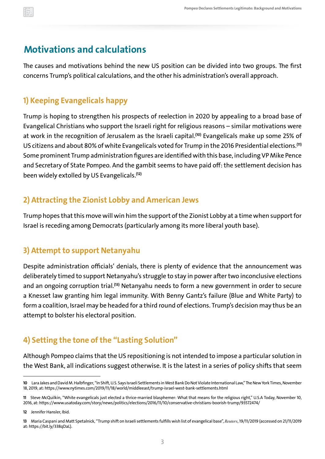#### <span id="page-5-0"></span>**Motivations and calculations**

The causes and motivations behind the new US position can be divided into two groups. The first concerns Trump's political calculations, and the other his administration's overall approach.

#### **1) Keeping Evangelicals happy**

Trump is hoping to strengthen his prospects of reelection in 2020 by appealing to a broad base of Evangelical Christians who support the Israeli right for religious reasons – similar motivations were at work in the recognition of Jerusalem as the Israeli capital.**(10)** Evangelicals make up some 25% of US citizens and about 80% of white Evangelicals voted for Trump in the 2016 Presidential elections.**(11)** Some prominent Trump administration figures are identified with this base, including VP Mike Pence and Secretary of State Pompeo. And the gambit seems to have paid off: the settlement decision has been widely extolled by US Evangelicals.**(12)**

#### **2) Attracting the Zionist Lobby and American Jews**

Trump hopes that this move will win him the support of the Zionist Lobby at a time when support for Israel is receding among Democrats (particularly among its more liberal youth base).

#### **3) Attempt to support Netanyahu**

Despite administration officials' denials, there is plenty of evidence that the announcement was deliberately timed to support Netanyahu's struggle to stay in power after two inconclusive elections and an ongoing corruption trial.**(13)** Netanyahu needs to form a new government in order to secure a Knesset law granting him legal immunity. With Benny Gantz's failure (Blue and White Party) to form a coalition, Israel may be headed for a third round of elections. Trump's decision may thus be an attempt to bolster his electoral position.

#### **4) Setting the tone of the "Lasting Solution"**

Although Pompeo claims that the US repositioning is not intended to impose a particular solution in the West Bank, all indications suggest otherwise. It is the latest in a series of policy shifts that seem

**<sup>10</sup>** Lara Jakes and David M. Halbfinger, "In Shift, U.S. Says Israeli Settlements in West Bank Do Not Violate International Law," The New York Times, November 18, 2019, at: https://www.nytimes.com/2019/11/18/world/middleeast/trump-israel-west-bank-settlements.html

**<sup>11</sup>** Steve McQuilkin, "White evangelicals just elected a thrice-married blasphemer: What that means for the religious right," U.S.A Today, November 10, 2016, at: https://www.usatoday.com/story/news/politics/elections/2016/11/10/conservative-christians-boorish-trump/93572474/

**<sup>12</sup>** Jennifer Hansler, Ibid.

**<sup>13</sup>** Maria Caspani and Matt Spetalnick, "Trump shift on Israeli settlements fulfills wish list of evangelical base", *Reuters*, 19/11/2019 (accessed on 21/11/2019 at: https://bit.ly/338qDaL).